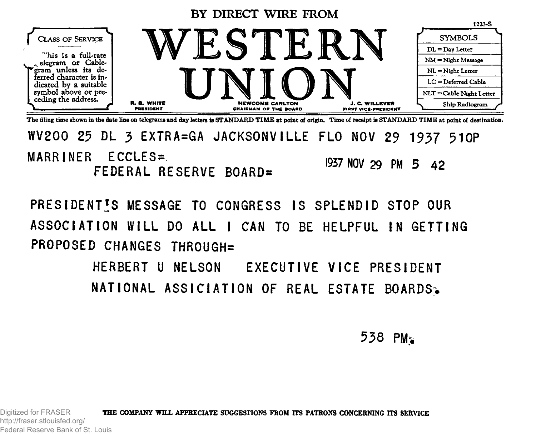

The filing time shown in the date line on telegrams **and** day letters is STANDARD TIME at point of origin. Time of receipt is STANDARD TIME at point of destination.

**WV2OO 25 DL 3 EXTRA=GA JACKSONVILLE FLO NOV 29 1937 510P MARRINER ECCLES=** FEDERAL RESERVE BOARD= **I957 NOV 29 PM 5 4 2**

**PRESIDENTS MESSAGE TO CONGRESS IS SPLENDID STOP OUR** ASSOCIATION WILL DO ALL I CAN TO BE HELPFUL IN GETTING PROPOSED CHANGES THROUGH=

> **HERBERT U NELSON EXECUTIVE VICE PRESIDENT NATIONAL ASSICIATION OF REAL ESTATE BOARDS:.**

> > 538 PM